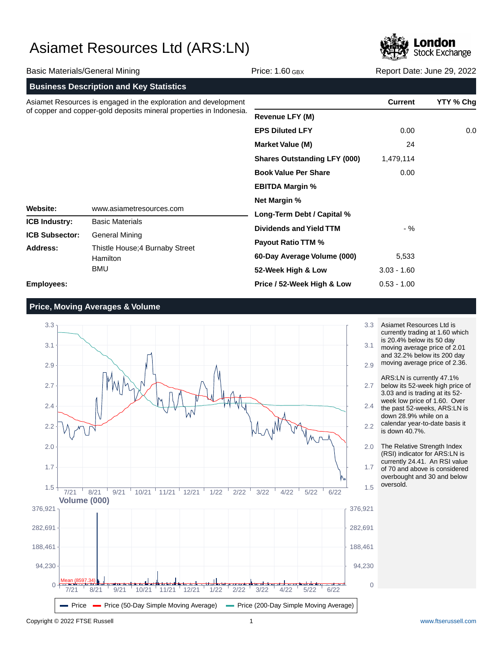

| <b>Basic Materials/General Mining</b>                                                                                                  |                                                | Price: $1.60$ GBX                   | Report Date: June 29, 2022 |           |  |
|----------------------------------------------------------------------------------------------------------------------------------------|------------------------------------------------|-------------------------------------|----------------------------|-----------|--|
|                                                                                                                                        | <b>Business Description and Key Statistics</b> |                                     |                            |           |  |
| Asiamet Resources is engaged in the exploration and development<br>of copper and copper-gold deposits mineral properties in Indonesia. |                                                |                                     | <b>Current</b>             | YTY % Chg |  |
|                                                                                                                                        |                                                | <b>Revenue LFY (M)</b>              |                            |           |  |
|                                                                                                                                        |                                                | <b>EPS Diluted LFY</b>              | 0.00                       | 0.0       |  |
|                                                                                                                                        |                                                | <b>Market Value (M)</b>             | 24                         |           |  |
|                                                                                                                                        |                                                | <b>Shares Outstanding LFY (000)</b> | 1,479,114                  |           |  |
|                                                                                                                                        |                                                | <b>Book Value Per Share</b>         | 0.00                       |           |  |
|                                                                                                                                        |                                                | <b>EBITDA Margin %</b>              |                            |           |  |
|                                                                                                                                        |                                                | <b>Net Margin %</b>                 |                            |           |  |
| Website:<br>www.asiametresources.com                                                                                                   | Long-Term Debt / Capital %                     |                                     |                            |           |  |
| <b>ICB Industry:</b>                                                                                                                   | <b>Basic Materials</b>                         |                                     | $-$ %                      |           |  |
| <b>ICB Subsector:</b>                                                                                                                  | <b>General Mining</b>                          | <b>Dividends and Yield TTM</b>      |                            |           |  |
| Address:<br>Hamilton<br><b>BMU</b>                                                                                                     | Thistle House; 4 Burnaby Street                | <b>Payout Ratio TTM %</b>           |                            |           |  |
|                                                                                                                                        |                                                | 60-Day Average Volume (000)         | 5,533                      |           |  |
|                                                                                                                                        |                                                | 52-Week High & Low                  | $3.03 - 1.60$              |           |  |
| <b>Employees:</b>                                                                                                                      |                                                | Price / 52-Week High & Low          | $0.53 - 1.00$              |           |  |

### **Price, Moving Averages & Volume**



Asiamet Resources Ltd is currently trading at 1.60 which is 20.4% below its 50 day moving average price of 2.01 and 32.2% below its 200 day moving average price of 2.36.

ARS:LN is currently 47.1% below its 52-week high price of 3.03 and is trading at its 52 week low price of 1.60. Over the past 52-weeks, ARS:LN is down 28.9% while on a calendar year-to-date basis it

is down 40.7%.

The Relative Strength Index (RSI) indicator for ARS:LN is currently 24.41. An RSI value of 70 and above is considered overbought and 30 and below oversold.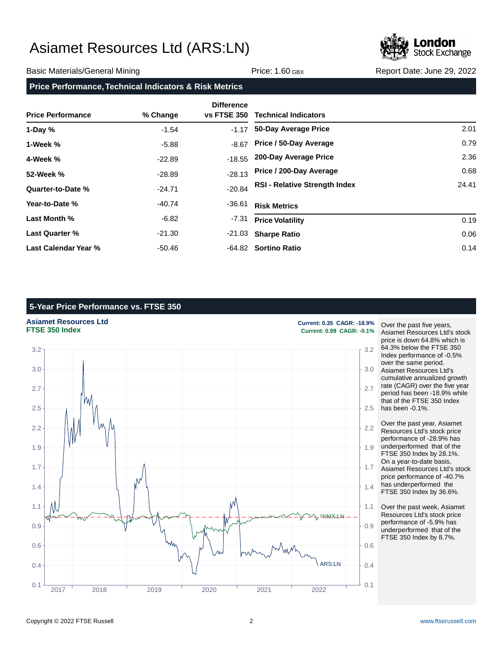

#### Basic Materials/General Mining The Contract of Price: 1.60 GBX Report Date: June 29, 2022

### **Price Performance, Technical Indicators & Risk Metrics**

|                          |          | <b>Difference</b>  |                                      |       |
|--------------------------|----------|--------------------|--------------------------------------|-------|
| <b>Price Performance</b> | % Change | <b>vs FTSE 350</b> | <b>Technical Indicators</b>          |       |
| 1-Day $%$                | $-1.54$  | $-1.17$            | 50-Day Average Price                 | 2.01  |
| 1-Week %                 | $-5.88$  | $-8.67$            | Price / 50-Day Average               | 0.79  |
| 4-Week %                 | $-22.89$ | $-18.55$           | 200-Day Average Price                | 2.36  |
| 52-Week %                | $-28.89$ | $-28.13$           | Price / 200-Day Average              | 0.68  |
| Quarter-to-Date %        | $-24.71$ | $-20.84$           | <b>RSI - Relative Strength Index</b> | 24.41 |
| Year-to-Date %           | -40.74   | -36.61             | <b>Risk Metrics</b>                  |       |
| Last Month %             | -6.82    | $-7.31$            | <b>Price Volatility</b>              | 0.19  |
| <b>Last Quarter %</b>    | $-21.30$ | -21.03             | <b>Sharpe Ratio</b>                  | 0.06  |
| Last Calendar Year %     | -50.46   |                    | -64.82 Sortino Ratio                 | 0.14  |

### **5-Year Price Performance vs. FTSE 350**

**Asiamet Resources Ltd Current: 0.35 CAGR: -18.9%**



**FTSE 350 Index Current: 0.99 CAGR: -0.1%**

Over the past five years, Asiamet Resources Ltd's stock price is down 64.8% which is 64.3% below the FTSE 350 Index performance of -0.5% over the same period. Asiamet Resources Ltd's cumulative annualized growth rate (CAGR) over the five year period has been -18.9% while that of the FTSE 350 Index has been -0.1%.

Over the past year, Asiamet Resources Ltd's stock price performance of -28.9% has underperformed that of the FTSE 350 Index by 28.1%. On a year-to-date basis, Asiamet Resources Ltd's stock price performance of -40.7% has underperformed the FTSE 350 Index by 36.6%.

Over the past week, Asiamet Resources Ltd's stock price performance of -5.9% has underperformed that of the FTSE 350 Index by 8.7%.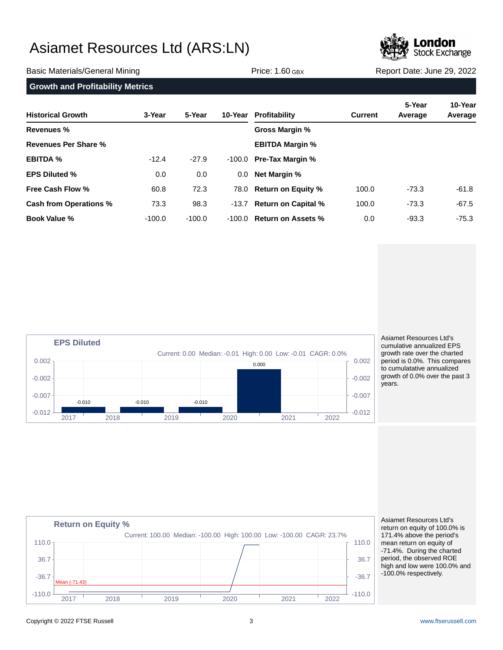

#### Basic Materials/General Mining The Price: 1.60 GBX Report Date: June 29, 2022

| <b>Historical Growth</b> | 3-Year   | 5-Year   |        | 10-Year Profitability     | <b>Current</b> | 5-Year<br>Average | 10-Year<br>Average |
|--------------------------|----------|----------|--------|---------------------------|----------------|-------------------|--------------------|
| Revenues %               |          |          |        | Gross Margin %            |                |                   |                    |
| Revenues Per Share %     |          |          |        | <b>EBITDA Margin %</b>    |                |                   |                    |
| <b>EBITDA %</b>          | $-12.4$  | $-27.9$  | -100.0 | <b>Pre-Tax Margin %</b>   |                |                   |                    |
| <b>EPS Diluted %</b>     | 0.0      | 0.0      | 0.0    | <b>Net Margin %</b>       |                |                   |                    |
| <b>Free Cash Flow %</b>  | 60.8     | 72.3     |        | 78.0 Return on Equity %   | 100.0          | $-73.3$           | -61.8              |
| Cash from Operations %   | 73.3     | 98.3     |        | -13.7 Return on Capital % | 100.0          | $-73.3$           | $-67.5$            |
| <b>Book Value %</b>      | $-100.0$ | $-100.0$ | -100.0 | <b>Return on Assets %</b> | 0.0            | $-93.3$           | $-75.3$            |



Asiamet Resources Ltd's cumulative annualized EPS growth rate over the charted period is 0.0%. This compares to cumulatative annualized growth of 0.0% over the past 3 years.



Asiamet Resources Ltd's return on equity of 100.0% is 171.4% above the period's mean return on equity of -71.4%. During the charted period, the observed ROE high and low were 100.0% and -100.0% respectively.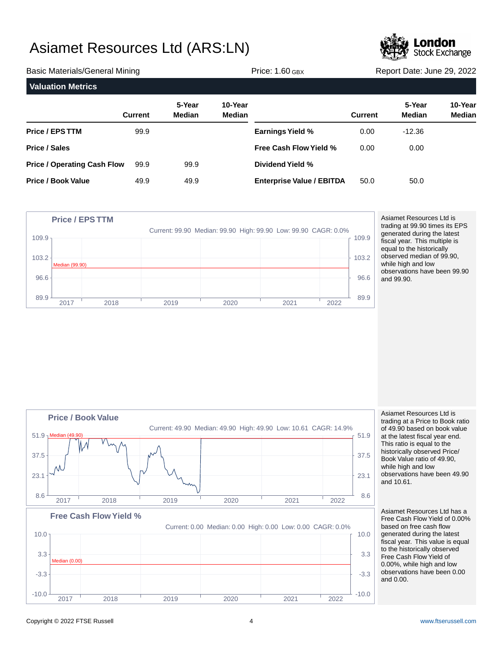

| <b>Basic Materials/General Mining</b> |                |                         |                   | Price: $1.60$ GBX                |                | Report Date: June 29, 2022 |                          |  |
|---------------------------------------|----------------|-------------------------|-------------------|----------------------------------|----------------|----------------------------|--------------------------|--|
| <b>Valuation Metrics</b>              |                |                         |                   |                                  |                |                            |                          |  |
|                                       | <b>Current</b> | 5-Year<br><b>Median</b> | 10-Year<br>Median |                                  | <b>Current</b> | 5-Year<br>Median           | 10-Year<br><b>Median</b> |  |
| <b>Price / EPS TTM</b>                | 99.9           |                         |                   | <b>Earnings Yield %</b>          | 0.00           | $-12.36$                   |                          |  |
| <b>Price / Sales</b>                  |                |                         |                   | <b>Free Cash Flow Yield %</b>    | 0.00           | 0.00                       |                          |  |
| <b>Price / Operating Cash Flow</b>    | 99.9           | 99.9                    |                   | Dividend Yield %                 |                |                            |                          |  |
| <b>Price / Book Value</b>             | 49.9           | 49.9                    |                   | <b>Enterprise Value / EBITDA</b> | 50.0           | 50.0                       |                          |  |



Asiamet Resources Ltd is trading at 99.90 times its EPS generated during the latest fiscal year. This multiple is equal to the historically observed median of 99.90, while high and low observations have been 99.90 and 99.90.



Asiamet Resources Ltd is trading at a Price to Book ratio of 49.90 based on book value at the latest fiscal year end. This ratio is equal to the historically observed Price/ Book Value ratio of 49.90, while high and low observations have been 49.90 and 10.61.

Asiamet Resources Ltd has a Free Cash Flow Yield of 0.00% based on free cash flow generated during the latest fiscal year. This value is equal to the historically observed Free Cash Flow Yield of 0.00%, while high and low observations have been 0.00 and 0.00.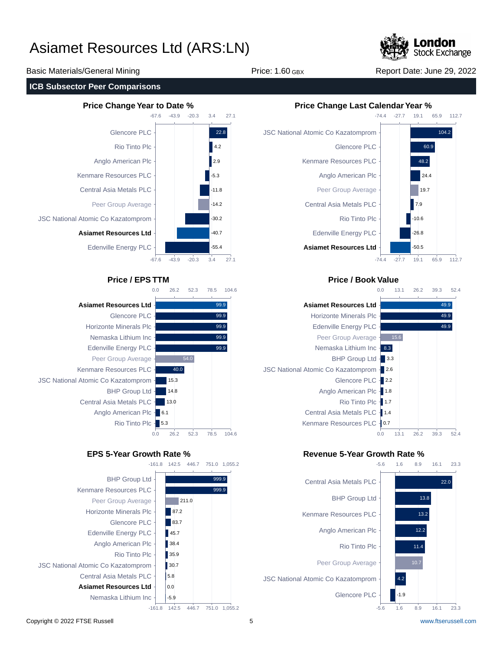

Basic Materials/General Mining The Price: 1.60 GBX Report Date: June 29, 2022

#### **ICB Subsector Peer Comparisons**





-161.8 142.5 446.7 751.0 1,055.2





#### **Price / EPS TTM Price / Book Value**



#### **EPS 5-Year Growth Rate % Revenue 5-Year Growth Rate %**

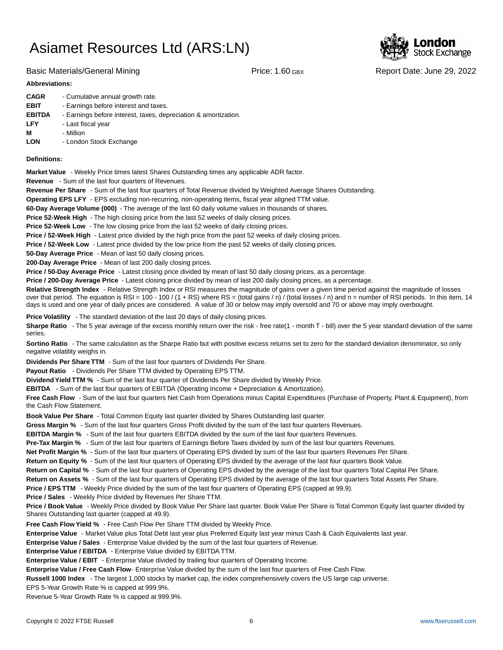

Basic Materials/General Mining The Price: 1.60 GBX Report Date: June 29, 2022

#### **Abbreviations:**

| <b>CAGR</b>   | - Cumulative annual growth rate.                                |
|---------------|-----------------------------------------------------------------|
| <b>EBIT</b>   | - Earnings before interest and taxes.                           |
| <b>EBITDA</b> | - Earnings before interest, taxes, depreciation & amortization. |
| <b>LFY</b>    | - Last fiscal year                                              |
| м             | - Million                                                       |
| <b>LON</b>    | - London Stock Exchange                                         |
|               |                                                                 |

#### **Definitions:**

**Market Value** - Weekly Price times latest Shares Outstanding times any applicable ADR factor.

**Revenue** - Sum of the last four quarters of Revenues.

**Revenue Per Share** - Sum of the last four quarters of Total Revenue divided by Weighted Average Shares Outstanding.

**Operating EPS LFY** - EPS excluding non-recurring, non-operating items, fiscal year aligned TTM value.

60-Day Average Volume (000) - The average of the last 60 daily volume values in thousands of shares.

**Price 52-Week High** - The high closing price from the last 52 weeks of daily closing prices.

**Price 52-Week Low** - The low closing price from the last 52 weeks of daily closing prices.

**Price / 52-Week High** - Latest price divided by the high price from the past 52 weeks of daily closing prices.

**Price / 52-Week Low** - Latest price divided by the low price from the past 52 weeks of daily closing prices.

**50-Day Average Price** - Mean of last 50 daily closing prices.

**200-Day Average Price** - Mean of last 200 daily closing prices.

Price / 50-Day Average Price - Latest closing price divided by mean of last 50 daily closing prices, as a percentage.

**Price / 200-Day Average Price** - Latest closing price divided by mean of last 200 daily closing prices, as a percentage.

Relative Strength Index - Relative Strength Index or RSI measures the magnitude of gains over a given time period against the magnitude of losses over that period. The equation is RSI = 100 - 100 / (1 + RS) where RS = (total gains / n) / (total losses / n) and n = number of RSI periods. In this item, 14 days is used and one year of daily prices are considered. A value of 30 or below may imply oversold and 70 or above may imply overbought.

**Price Volatility** - The standard deviation of the last 20 days of daily closing prices.

Sharpe Ratio - The 5 year average of the excess monthly return over the risk - free rate(1 - month T - bill) over the 5 year standard deviation of the same series.

**Sortino Ratio** - The same calculation as the Sharpe Ratio but with positive excess returns set to zero for the standard deviation denominator, so only negative volatility weighs in.

**Dividends Per Share TTM** - Sum of the last four quarters of Dividends Per Share.

Payout Ratio - Dividends Per Share TTM divided by Operating EPS TTM.

**Dividend Yield TTM %** - Sum of the last four quarter of Dividends Per Share divided by Weekly Price.

**EBITDA** - Sum of the last four quarters of EBITDA (Operating Income + Depreciation & Amortization).

**Free Cash Flow** - Sum of the last four quarters Net Cash from Operations minus Capital Expenditures (Purchase of Property, Plant & Equipment), from the Cash Flow Statement.

**Book Value Per Share** - Total Common Equity last quarter divided by Shares Outstanding last quarter.

**Gross Margin %** - Sum of the last four quarters Gross Profit divided by the sum of the last four quarters Revenues.

**EBITDA Margin %** - Sum of the last four quarters EBITDA divided by the sum of the last four quarters Revenues.

**Pre-Tax Margin %** - Sum of the last four quarters of Earnings Before Taxes divided by sum of the last four quarters Revenues.

**Net Profit Margin %** - Sum of the last four quarters of Operating EPS divided by sum of the last four quarters Revenues Per Share.

**Return on Equity %** - Sum of the last four quarters of Operating EPS divided by the average of the last four quarters Book Value.

**Return on Capital %** - Sum of the last four quarters of Operating EPS divided by the average of the last four quarters Total Capital Per Share.

**Return on Assets %** - Sum of the last four quarters of Operating EPS divided by the average of the last four quarters Total Assets Per Share.

**Price / EPS TTM** - Weekly Price divided by the sum of the last four quarters of Operating EPS (capped at 99.9).

**Price / Sales** - Weekly Price divided by Revenues Per Share TTM.

**Price / Book Value** - Weekly Price divided by Book Value Per Share last quarter. Book Value Per Share is Total Common Equity last quarter divided by Shares Outstanding last quarter (capped at 49.9).

**Free Cash Flow Yield %** - Free Cash Flow Per Share TTM divided by Weekly Price.

Enterprise Value - Market Value plus Total Debt last year plus Preferred Equity last year minus Cash & Cash Equivalents last year.

**Enterprise Value / Sales** - Enterprise Value divided by the sum of the last four quarters of Revenue.

**Enterprise Value / EBITDA** - Enterprise Value divided by EBITDA TTM.

**Enterprise Value / EBIT** - Enterprise Value divided by trailing four quarters of Operating Income.

Enterprise Value / Free Cash Flow- Enterprise Value divided by the sum of the last four quarters of Free Cash Flow.

**Russell 1000 Index** - The largest 1,000 stocks by market cap, the index comprehensively covers the US large cap universe.

EPS 5-Year Growth Rate % is capped at 999.9%.

Revenue 5-Year Growth Rate % is capped at 999.9%.